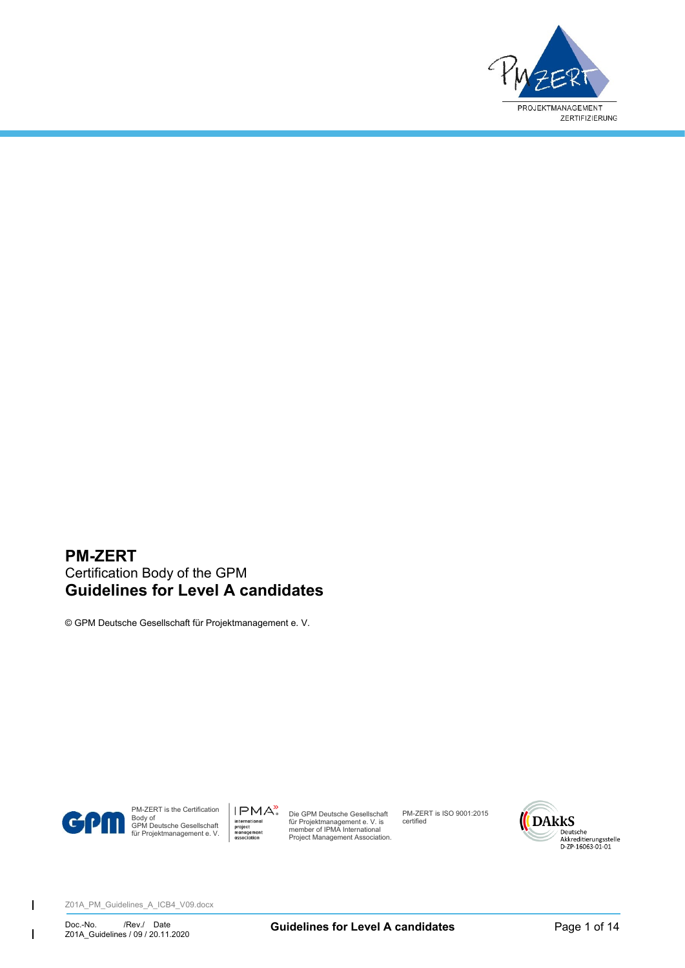

### **PM-ZERT** Certification Body of the GPM **Guidelines for Level A candidates**

© GPM Deutsche Gesellschaft für Projektmanagement e. V.



 $\overline{1}$ 

 $\mathsf{l}$ 

PM-ZERT is the Certification Body of GPM Deutsche Gesellschaft für Projektmanagement e. V.

IPMA<sup>></sup> Die GPM Deutsche Gesellschaft für Projektmanagement e. V. is member of IPMA International Project Management Association.

PM-ZERT is ISO 9001:2015 certified

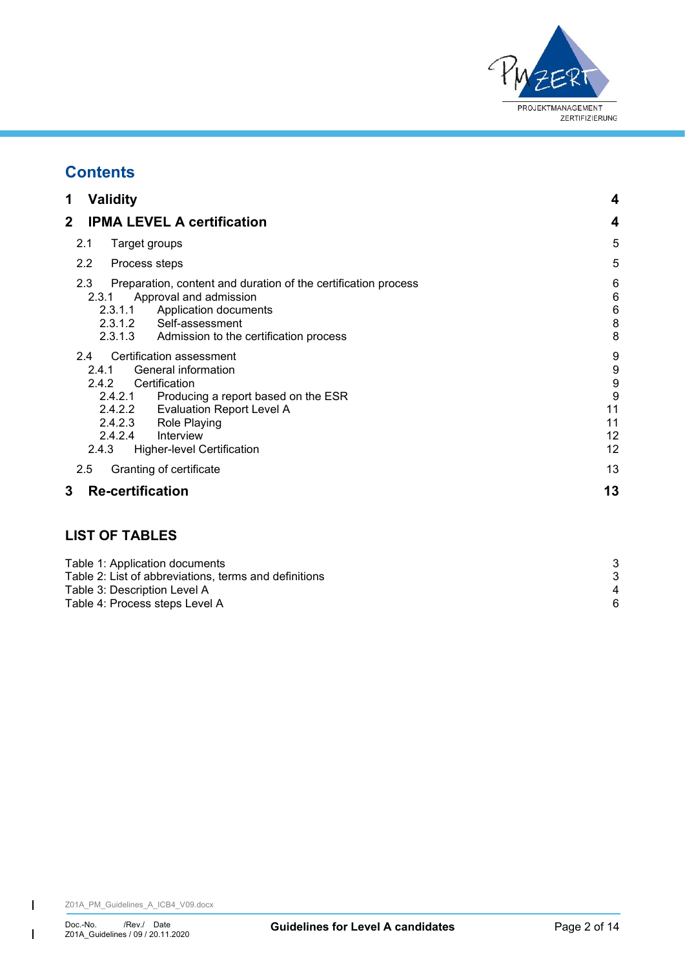

# **Contents**

| 1<br><b>Validity</b>                                                                                                                                                                                                                                                           | 4                                        |
|--------------------------------------------------------------------------------------------------------------------------------------------------------------------------------------------------------------------------------------------------------------------------------|------------------------------------------|
| $\mathbf{2}$<br><b>IPMA LEVEL A certification</b>                                                                                                                                                                                                                              | 4                                        |
| Target groups<br>2.1                                                                                                                                                                                                                                                           | 5                                        |
| 2.2<br>Process steps                                                                                                                                                                                                                                                           | 5                                        |
| 2.3<br>Preparation, content and duration of the certification process<br>Approval and admission<br>2.3.1<br>2.3.1.1 Application documents<br>2.3.1.2 Self-assessment<br>2.3.1.3 Admission to the certification process                                                         | 6<br>6<br>6<br>8<br>8                    |
| Certification assessment<br>2.4<br>General information<br>2.4.1<br>Certification<br>2.4.2<br>2.4.2.1 Producing a report based on the ESR<br>2.4.2.2 Evaluation Report Level A<br>2.4.2.3<br>Role Playing<br>2.4.2.4<br>Interview<br>2.4.3<br><b>Higher-level Certification</b> | 9<br>9<br>9<br>9<br>11<br>11<br>12<br>12 |
| Granting of certificate<br>2.5                                                                                                                                                                                                                                                 | 13                                       |
| 3<br><b>Re-certification</b>                                                                                                                                                                                                                                                   | 13                                       |

### **LIST OF TABLES**

| 4 |
|---|
| 6 |
|   |

 $\overline{1}$ 

 $\begin{array}{c} \hline \end{array}$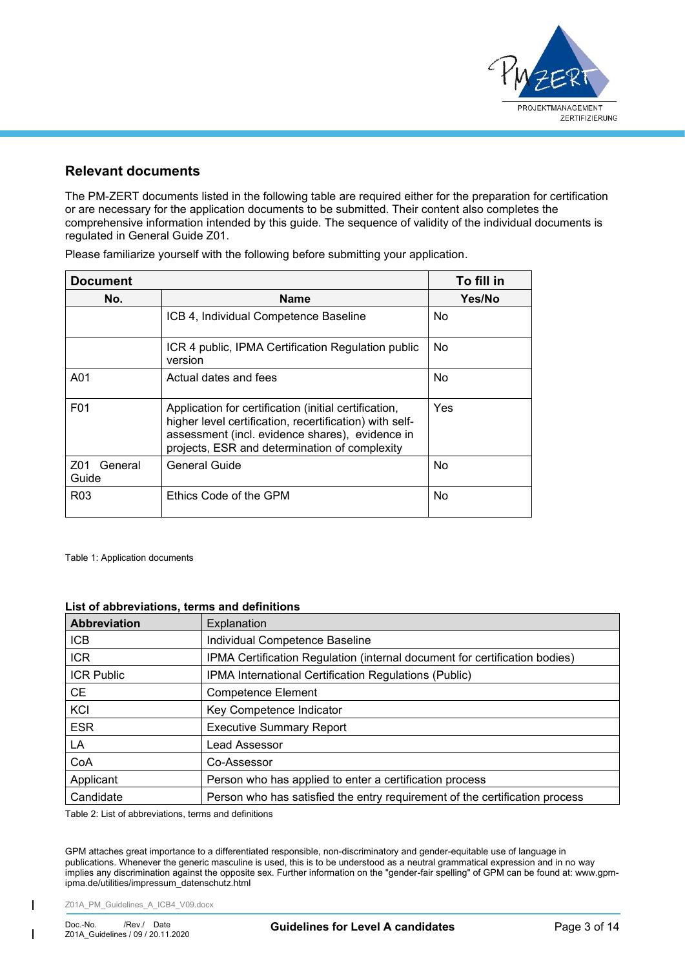

### **Relevant documents**

The PM-ZERT documents listed in the following table are required either for the preparation for certification or are necessary for the application documents to be submitted. Their content also completes the comprehensive information intended by this guide. The sequence of validity of the individual documents is regulated in General Guide Z01.

| <b>Document</b>         | To fill in                                                                                                                                                                                                           |     |  |
|-------------------------|----------------------------------------------------------------------------------------------------------------------------------------------------------------------------------------------------------------------|-----|--|
| No.                     | <b>Name</b>                                                                                                                                                                                                          |     |  |
|                         | ICB 4, Individual Competence Baseline                                                                                                                                                                                | No  |  |
|                         | ICR 4 public, IPMA Certification Regulation public<br>version                                                                                                                                                        | No  |  |
| A01                     | Actual dates and fees                                                                                                                                                                                                | No  |  |
| F <sub>0</sub> 1        | Application for certification (initial certification,<br>higher level certification, recertification) with self-<br>assessment (incl. evidence shares), evidence in<br>projects, ESR and determination of complexity | Yes |  |
| Z01<br>General<br>Guide | General Guide                                                                                                                                                                                                        | No  |  |
| R <sub>0</sub> 3        | Ethics Code of the GPM                                                                                                                                                                                               | No  |  |

Please familiarize yourself with the following before submitting your application.

<span id="page-2-0"></span>Table 1: Application documents

#### **List of abbreviations, terms and definitions**

| Abbreviation      | Explanation                                                                 |
|-------------------|-----------------------------------------------------------------------------|
| <b>ICB</b>        | Individual Competence Baseline                                              |
| ICR               | IPMA Certification Regulation (internal document for certification bodies)  |
| <b>ICR Public</b> | IPMA International Certification Regulations (Public)                       |
| CE.               | Competence Element                                                          |
| KCI               | Key Competence Indicator                                                    |
| <b>ESR</b>        | <b>Executive Summary Report</b>                                             |
| LA                | Lead Assessor                                                               |
| CoA               | Co-Assessor                                                                 |
| Applicant         | Person who has applied to enter a certification process                     |
| Candidate         | Person who has satisfied the entry requirement of the certification process |

<span id="page-2-1"></span>Table 2: List of abbreviations, terms and definitions

GPM attaches great importance to a differentiated responsible, non-discriminatory and gender-equitable use of language in publications. Whenever the generic masculine is used, this is to be understood as a neutral grammatical expression and in no way implies any discrimination against the opposite sex. Further information on the "gender-fair spelling" of GPM can be found at: www.gpmipma.de/utilities/impressum\_datenschutz.html

Z01A\_PM\_Guidelines\_A\_ICB4\_V09.docx

 $\overline{1}$ 

 $\mathbf{I}$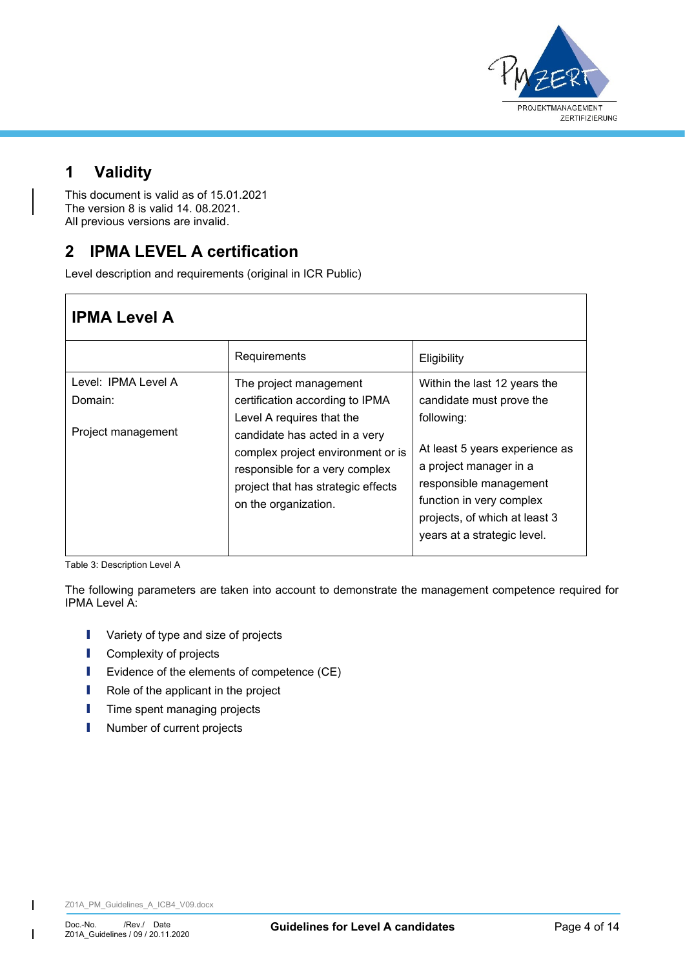

# <span id="page-3-0"></span>**1 Validity**

This document is valid as of 15.01.2021 The version 8 is valid 14. 08.2021. All previous versions are invalid.

# <span id="page-3-1"></span>**2 IPMA LEVEL A certification**

Level description and requirements (original in ICR Public)

| <b>IPMA Level A</b>                                  |                                                                                                                                                                                                                                                              |                                                                                                                                                                                                                                                          |  |
|------------------------------------------------------|--------------------------------------------------------------------------------------------------------------------------------------------------------------------------------------------------------------------------------------------------------------|----------------------------------------------------------------------------------------------------------------------------------------------------------------------------------------------------------------------------------------------------------|--|
|                                                      | Requirements                                                                                                                                                                                                                                                 | Eligibility                                                                                                                                                                                                                                              |  |
| Level: IPMA Level A<br>Domain:<br>Project management | The project management<br>certification according to IPMA<br>Level A requires that the<br>candidate has acted in a very<br>complex project environment or is<br>responsible for a very complex<br>project that has strategic effects<br>on the organization. | Within the last 12 years the<br>candidate must prove the<br>following:<br>At least 5 years experience as<br>a project manager in a<br>responsible management<br>function in very complex<br>projects, of which at least 3<br>years at a strategic level. |  |

<span id="page-3-2"></span>Table 3: Description Level A

The following parameters are taken into account to demonstrate the management competence required for IPMA Level A:

- **I** Variety of type and size of projects
- **I** Complexity of projects
- I Evidence of the elements of competence (CE)
- **I** Role of the applicant in the project
- **I** Time spent managing projects
- **I** Number of current projects

 $\overline{\phantom{a}}$ 

 $\mathsf{I}$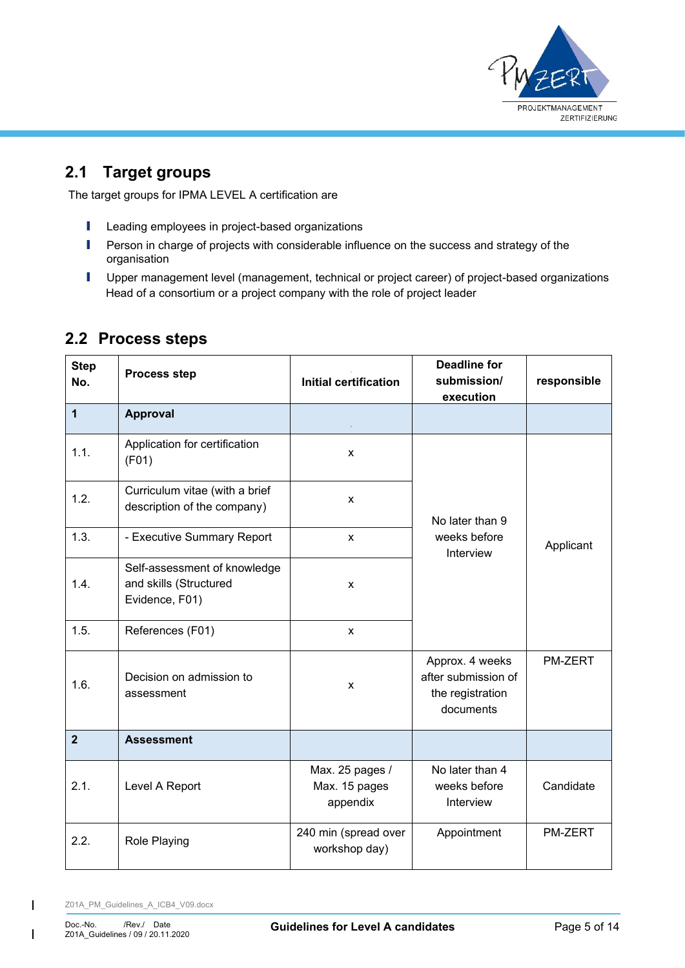

# <span id="page-4-0"></span>**2.1 Target groups**

The target groups for IPMA LEVEL A certification are

- **I** Leading employees in project-based organizations
- **I** Person in charge of projects with considerable influence on the success and strategy of the organisation
- **I** Upper management level (management, technical or project career) of project-based organizations Head of a consortium or a project company with the role of project leader

| <b>Step</b><br>No. | <b>Process step</b>                                                      | <b>Initial certification</b>                 | <b>Deadline for</b><br>submission/<br>execution                         | responsible |
|--------------------|--------------------------------------------------------------------------|----------------------------------------------|-------------------------------------------------------------------------|-------------|
| $\mathbf{1}$       | <b>Approval</b>                                                          |                                              |                                                                         |             |
| 1.1.               | Application for certification<br>(F01)                                   | X                                            |                                                                         |             |
| 1.2.               | Curriculum vitae (with a brief<br>description of the company)            | X                                            | No later than 9                                                         |             |
| 1.3.               | - Executive Summary Report                                               | X                                            | weeks before<br>Interview                                               | Applicant   |
| 1.4.               | Self-assessment of knowledge<br>and skills (Structured<br>Evidence, F01) | x                                            |                                                                         |             |
| 1.5.               | References (F01)                                                         | X                                            |                                                                         |             |
| 1.6.               | Decision on admission to<br>assessment                                   | X                                            | Approx. 4 weeks<br>after submission of<br>the registration<br>documents | PM-ZERT     |
| $\overline{2}$     | <b>Assessment</b>                                                        |                                              |                                                                         |             |
| 2.1.               | Level A Report                                                           | Max. 25 pages /<br>Max. 15 pages<br>appendix | No later than 4<br>weeks before<br>Interview                            | Candidate   |
| 2.2.               | Role Playing                                                             | 240 min (spread over<br>workshop day)        | Appointment                                                             | PM-ZERT     |

## <span id="page-4-1"></span>**2.2 Process steps**

Z01A\_PM\_Guidelines\_A\_ICB4\_V09.docx

 $\overline{1}$ 

 $\mathbf{I}$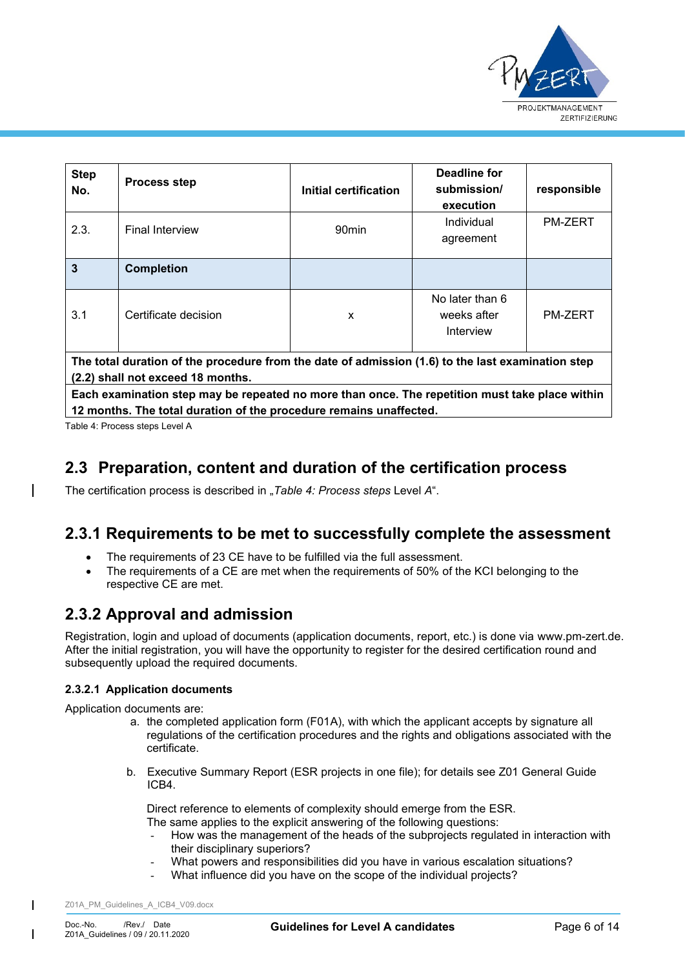

| <b>Step</b><br>No.                                                                                | <b>Process step</b>    | Initial certification | Deadline for<br>submission/<br>execution    | responsible    |
|---------------------------------------------------------------------------------------------------|------------------------|-----------------------|---------------------------------------------|----------------|
| 2.3.                                                                                              | <b>Final Interview</b> | 90 <sub>min</sub>     | Individual<br>agreement                     | <b>PM-ZERT</b> |
| $\overline{3}$                                                                                    | <b>Completion</b>      |                       |                                             |                |
| 3.1                                                                                               | Certificate decision   | X                     | No later than 6<br>weeks after<br>Interview | <b>PM-ZERT</b> |
| The total duration of the procedure from the date of admission (1 G) to the last examination step |                        |                       |                                             |                |

**I** duration of the procedure from the date of admission (1.6) to the last **e (2.2) shall not exceed 18 months.**

**Each examination step may be repeated no more than once. The repetition must take place within 12 months. The total duration of the procedure remains unaffected.**

<span id="page-5-3"></span>Table 4: Process steps Level A

## <span id="page-5-0"></span>**2.3 Preparation, content and duration of the certification process**

The certification process is described in "[Table 4: Process steps](#page-5-3) Level A".

### **2.3.1 Requirements to be met to successfully complete the assessment**

- The requirements of 23 CE have to be fulfilled via the full assessment.
- The requirements of a CE are met when the requirements of 50% of the KCI belonging to the respective CE are met.

## <span id="page-5-1"></span>**2.3.2 Approval and admission**

Registration, login and upload of documents (application documents, report, etc.) is done via www.pm-zert.de. After the initial registration, you will have the opportunity to register for the desired certification round and subsequently upload the required documents.

### <span id="page-5-2"></span>**2.3.2.1 Application documents**

Application documents are:

- a. the completed application form (F01A), with which the applicant accepts by signature all regulations of the certification procedures and the rights and obligations associated with the certificate.
- b. Executive Summary Report (ESR projects in one file); for details see Z01 General Guide ICB4.

Direct reference to elements of complexity should emerge from the ESR. The same applies to the explicit answering of the following questions:

- How was the management of the heads of the subprojects regulated in interaction with their disciplinary superiors?
- What powers and responsibilities did you have in various escalation situations?
- What influence did you have on the scope of the individual projects?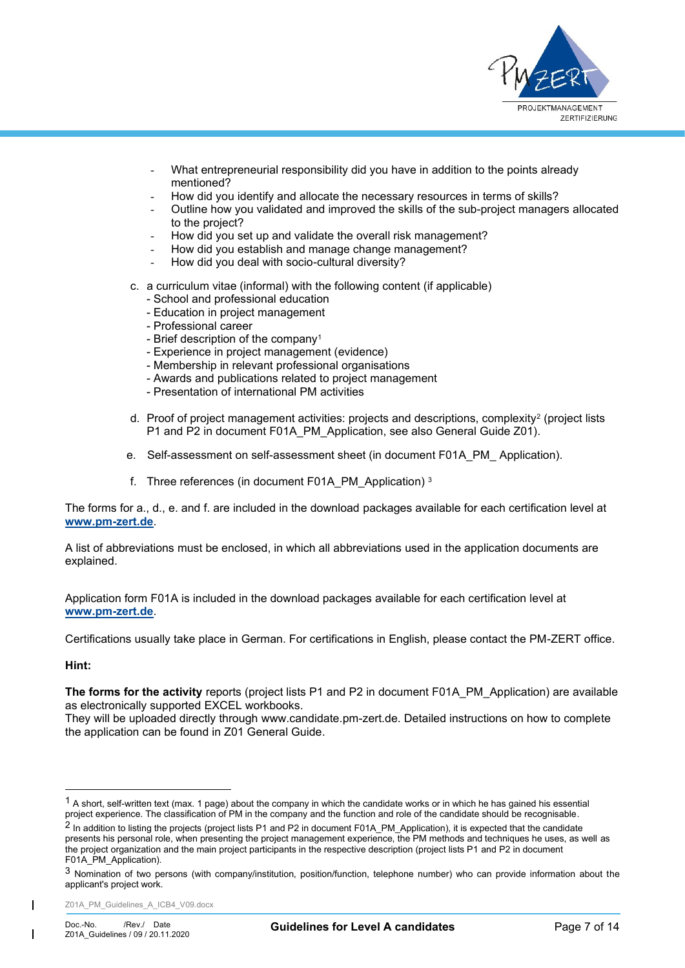

- What entrepreneurial responsibility did you have in addition to the points already mentioned?
- How did you identify and allocate the necessary resources in terms of skills?
- Outline how you validated and improved the skills of the sub-project managers allocated to the project?
- How did you set up and validate the overall risk management?
- How did you establish and manage change management?
- How did you deal with socio-cultural diversity?
- c. a curriculum vitae (informal) with the following content (if applicable)
	- School and professional education
	- Education in project management
	- Professional career
	- Brief description of the company<sup>1</sup>
	- Experience in project management (evidence)
	- Membership in relevant professional organisations
	- Awards and publications related to project management
	- Presentation of international PM activities
- d. Proof of project management activities: projects and descriptions, complexity<sup>2</sup> (project lists P1 and P2 in document F01A\_PM\_Application, see also General Guide Z01).
- e. Self-assessment on self-assessment sheet (in document F01A\_PM\_ Application).
- f. Three references (in document F01A\_PM\_Application) <sup>3</sup>

The forms for a., d., e. and f. are included in the download packages available for each certification level at **[www.pm-zert.de](http://www.pm-zert.de/)**.

A list of abbreviations must be enclosed, in which all abbreviations used in the application documents are explained.

Application form F01A is included in the download packages available for each certification level at **[www.pm-zert.de](http://www.pm-zert.de/)**.

Certifications usually take place in German. For certifications in English, please contact the PM-ZERT office.

#### **Hint:**

The forms for the activity reports (project lists P1 and P2 in document F01A\_PM\_Application) are available as electronically supported EXCEL workbooks.

They will be uploaded directly through www.candidate.pm-zert.de. Detailed instructions on how to complete the application can be found in Z01 General Guide.

<span id="page-6-0"></span><sup>1</sup> A short, self-written text (max. 1 page) about the company in which the candidate works or in which he has gained his essential project experience. The classification of PM in the company and the function and role of the candidate should be recognisable.

<sup>&</sup>lt;sup>2</sup> In addition to listing the projects (project lists P1 and P2 in document F01A\_PM\_Application), it is expected that the candidate presents his personal role, when presenting the project management experience, the PM methods and techniques he uses, as well as the project organization and the main project participants in the respective description (project lists P1 and P2 in document F01A\_PM\_Application).

<sup>3</sup> Nomination of two persons (with company/institution, position/function, telephone number) who can provide information about the applicant's project work.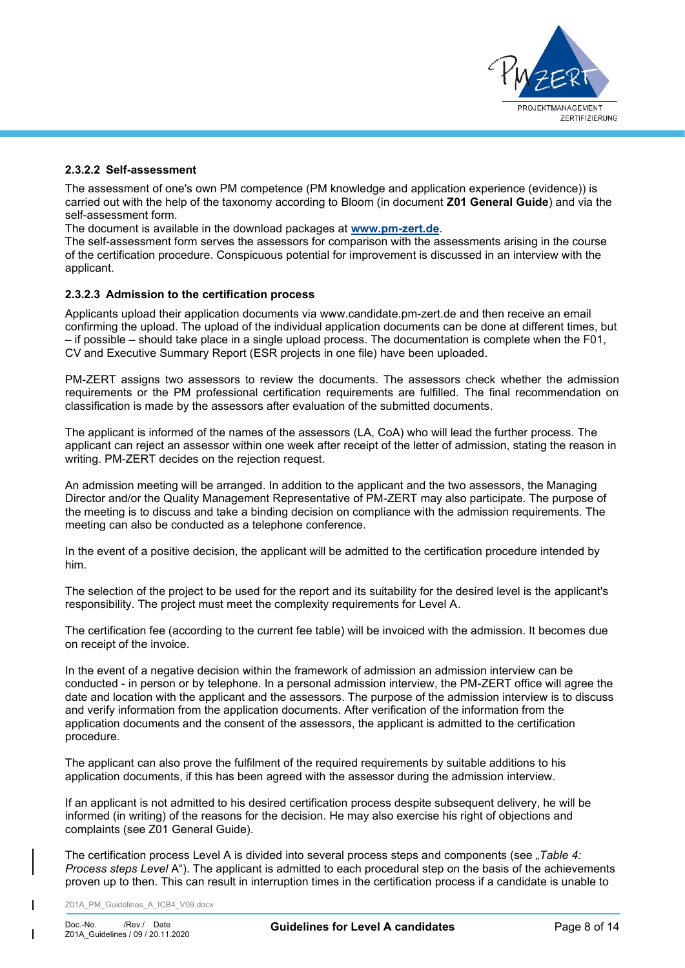

#### **2.3.2.2 Self-assessment**

The assessment of one's own PM competence (PM knowledge and application experience (evidence)) is carried out with the help of the taxonomy according to Bloom (in document **Z01 General Guide**) and via the self-assessment form.

The document is available in the download packages at **[www.pm-zert.de](http://www.pm-zert.de/)**.

The self-assessment form serves the assessors for comparison with the assessments arising in the course of the certification procedure. Conspicuous potential for improvement is discussed in an interview with the applicant.

#### <span id="page-7-0"></span>**2.3.2.3 Admission to the certification process**

Applicants upload their application documents via www.candidate.pm-zert.de and then receive an email confirming the upload. The upload of the individual application documents can be done at different times, but – if possible – should take place in a single upload process. The documentation is complete when the F01, CV and Executive Summary Report (ESR projects in one file) have been uploaded.

PM-ZERT assigns two assessors to review the documents. The assessors check whether the admission requirements or the PM professional certification requirements are fulfilled. The final recommendation on classification is made by the assessors after evaluation of the submitted documents.

The applicant is informed of the names of the assessors (LA, CoA) who will lead the further process. The applicant can reject an assessor within one week after receipt of the letter of admission, stating the reason in writing. PM-ZERT decides on the rejection request.

An admission meeting will be arranged. In addition to the applicant and the two assessors, the Managing Director and/or the Quality Management Representative of PM-ZERT may also participate. The purpose of the meeting is to discuss and take a binding decision on compliance with the admission requirements. The meeting can also be conducted as a telephone conference.

In the event of a positive decision, the applicant will be admitted to the certification procedure intended by him.

The selection of the project to be used for the report and its suitability for the desired level is the applicant's responsibility. The project must meet the complexity requirements for Level A.

The certification fee (according to the current fee table) will be invoiced with the admission. It becomes due on receipt of the invoice.

In the event of a negative decision within the framework of admission an admission interview can be conducted - in person or by telephone. In a personal admission interview, the PM-ZERT office will agree the date and location with the applicant and the assessors. The purpose of the admission interview is to discuss and verify information from the application documents. After verification of the information from the application documents and the consent of the assessors, the applicant is admitted to the certification procedure.

The applicant can also prove the fulfilment of the required requirements by suitable additions to his application documents, if this has been agreed with the assessor during the admission interview.

If an applicant is not admitted to his desired certification process despite subsequent delivery, he will be informed (in writing) of the reasons for the decision. He may also exercise his right of objections and complaints (see Z01 General Guide).

The certification process Level A is divided into several process steps and components (see "Table 4: *[Process steps Level](#page-5-3)* A"). The applicant is admitted to each procedural step on the basis of the achievements proven up to then. This can result in interruption times in the certification process if a candidate is unable to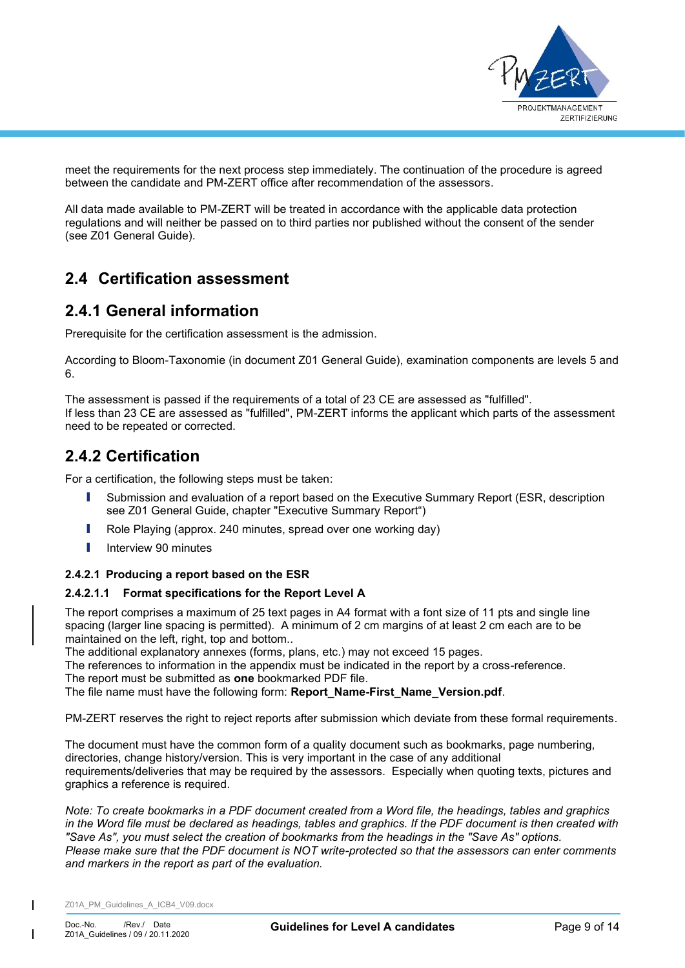

meet the requirements for the next process step immediately. The continuation of the procedure is agreed between the candidate and PM-ZERT office after recommendation of the assessors.

All data made available to PM-ZERT will be treated in accordance with the applicable data protection regulations and will neither be passed on to third parties nor published without the consent of the sender (see Z01 General Guide).

## <span id="page-8-0"></span>**2.4 Certification assessment**

## <span id="page-8-1"></span>**2.4.1 General information**

Prerequisite for the certification assessment is the admission.

According to Bloom-Taxonomie (in document Z01 General Guide), examination components are levels 5 and 6.

The assessment is passed if the requirements of a total of 23 CE are assessed as "fulfilled". If less than 23 CE are assessed as "fulfilled", PM-ZERT informs the applicant which parts of the assessment need to be repeated or corrected.

## <span id="page-8-2"></span>**2.4.2 Certification**

For a certification, the following steps must be taken:

- **I** Submission and evaluation of a report based on the Executive Summary Report (ESR, description see Z01 General Guide, chapter "Executive Summary Report")
- I Role Playing (approx. 240 minutes, spread over one working day)
- **I** Interview 90 minutes

### <span id="page-8-3"></span>**2.4.2.1 Producing a report based on the ESR**

### **2.4.2.1.1 Format specifications for the Report Level A**

The report comprises a maximum of 25 text pages in A4 format with a font size of 11 pts and single line spacing (larger line spacing is permitted). A minimum of 2 cm margins of at least 2 cm each are to be maintained on the left, right, top and bottom...

The additional explanatory annexes (forms, plans, etc.) may not exceed 15 pages.

The references to information in the appendix must be indicated in the report by a cross-reference.

The report must be submitted as **one** bookmarked PDF file.

The file name must have the following form: **Report\_Name-First\_Name\_Version.pdf**.

PM-ZERT reserves the right to reject reports after submission which deviate from these formal requirements.

The document must have the common form of a quality document such as bookmarks, page numbering, directories, change history/version. This is very important in the case of any additional requirements/deliveries that may be required by the assessors. Especially when quoting texts, pictures and graphics a reference is required.

*Note: To create bookmarks in a PDF document created from a Word file, the headings, tables and graphics in the Word file must be declared as headings, tables and graphics. If the PDF document is then created with "Save As", you must select the creation of bookmarks from the headings in the "Save As" options. Please make sure that the PDF document is NOT write-protected so that the assessors can enter comments and markers in the report as part of the evaluation.*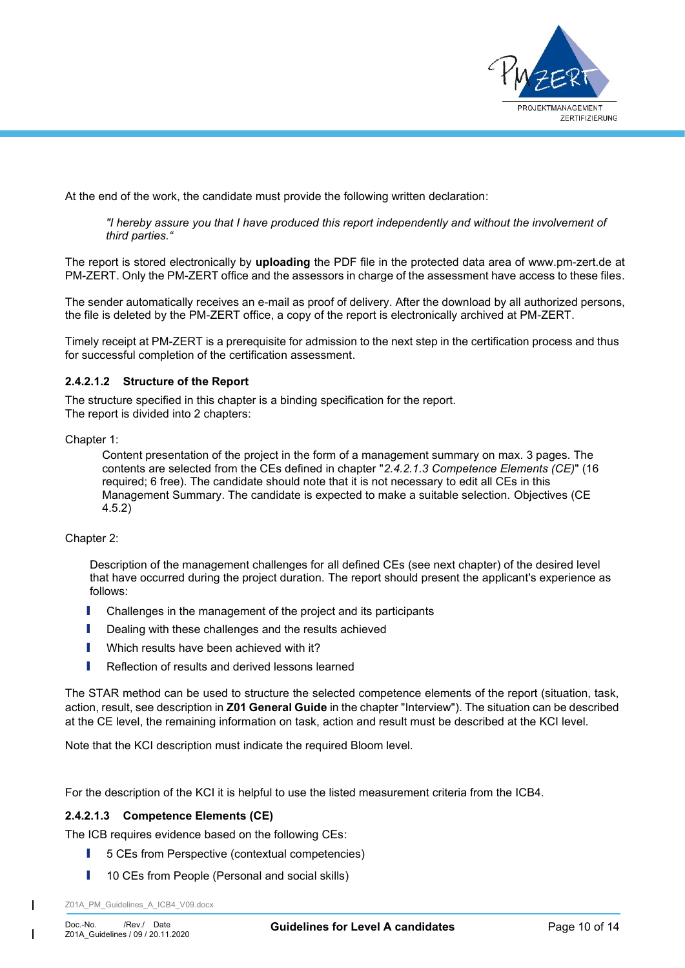

At the end of the work, the candidate must provide the following written declaration:

*"I hereby assure you that I have produced this report independently and without the involvement of third parties."*

The report is stored electronically by **uploading** the PDF file in the protected data area of www.pm-zert.de at PM-ZERT. Only the PM-ZERT office and the assessors in charge of the assessment have access to these files.

The sender automatically receives an e-mail as proof of delivery. After the download by all authorized persons, the file is deleted by the PM-ZERT office, a copy of the report is electronically archived at PM-ZERT.

Timely receipt at PM-ZERT is a prerequisite for admission to the next step in the certification process and thus for successful completion of the certification assessment.

### <span id="page-9-1"></span>**2.4.2.1.2 Structure of the Report**

The structure specified in this chapter is a binding specification for the report. The report is divided into 2 chapters:

Chapter 1:

Content presentation of the project in the form of a management summary on max. 3 pages. The contents are selected from the CEs defined in chapter "*[2.4.2.1.3](#page-9-0) [Competence Elements](#page-9-0) (CE)*" (16 required; 6 free). The candidate should note that it is not necessary to edit all CEs in this Management Summary. The candidate is expected to make a suitable selection. Objectives (CE 4.5.2)

Chapter 2:

Description of the management challenges for all defined CEs (see next chapter) of the desired level that have occurred during the project duration. The report should present the applicant's experience as follows:

- **I** Challenges in the management of the project and its participants
- **I** Dealing with these challenges and the results achieved
- **I** Which results have been achieved with it?
- I Reflection of results and derived lessons learned

The STAR method can be used to structure the selected competence elements of the report (situation, task, action, result, see description in **Z01 General Guide** in the chapter "Interview"). The situation can be described at the CE level, the remaining information on task, action and result must be described at the KCI level.

Note that the KCI description must indicate the required Bloom level.

For the description of the KCI it is helpful to use the listed measurement criteria from the ICB4.

### <span id="page-9-0"></span>**2.4.2.1.3 Competence Elements (CE)**

The ICB requires evidence based on the following CEs:

- 5 CEs from Perspective (contextual competencies)
- **I** 10 CEs from People (Personal and social skills)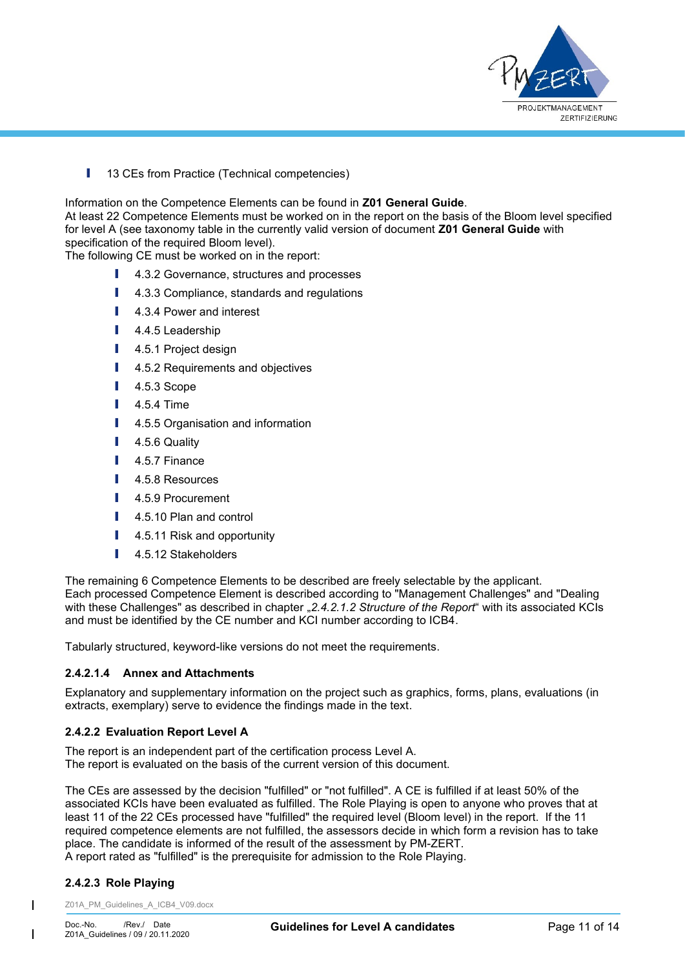

**I** 13 CEs from Practice (Technical competencies)

Information on the Competence Elements can be found in **Z01 General Guide**.

At least 22 Competence Elements must be worked on in the report on the basis of the Bloom level specified for level A (see taxonomy table in the currently valid version of document **Z01 General Guide** with specification of the required Bloom level).

The following CE must be worked on in the report:

- **I** 4.3.2 Governance, structures and processes
- 4.3.3 Compliance, standards and regulations
- 4.3.4 Power and interest
- 4.4.5 Leadership
- 4.5.1 Project design
- 4.5.2 Requirements and objectives
- 4.5.3 Scope
- 4.5.4 Time
- 4.5.5 Organisation and information
- 4.5.6 Quality
- I 4.5.7 Finance
- 4.5.8 Resources
- 4.5.9 Procurement
- I 4.5.10 Plan and control
- **I** 4.5.11 Risk and opportunity
- **I** 4.5.12 Stakeholders

The remaining 6 Competence Elements to be described are freely selectable by the applicant. Each processed Competence Element is described according to "Management Challenges" and "Dealing with these Challenges" as described in chapter "[2.4.2.1.2](#page-9-1) [Structure of the Report](#page-9-1)" with its associated KCIs and must be identified by the CE number and KCI number according to ICB4.

Tabularly structured, keyword-like versions do not meet the requirements.

### **2.4.2.1.4 Annex and Attachments**

Explanatory and supplementary information on the project such as graphics, forms, plans, evaluations (in extracts, exemplary) serve to evidence the findings made in the text.

#### <span id="page-10-0"></span>**2.4.2.2 Evaluation Report Level A**

The report is an independent part of the certification process Level A. The report is evaluated on the basis of the current version of this document.

The CEs are assessed by the decision "fulfilled" or "not fulfilled". A CE is fulfilled if at least 50% of the associated KCIs have been evaluated as fulfilled. The Role Playing is open to anyone who proves that at least 11 of the 22 CEs processed have "fulfilled" the required level (Bloom level) in the report. If the 11 required competence elements are not fulfilled, the assessors decide in which form a revision has to take place. The candidate is informed of the result of the assessment by PM-ZERT. A report rated as "fulfilled" is the prerequisite for admission to the Role Playing.

### <span id="page-10-1"></span>**2.4.2.3 Role Playing**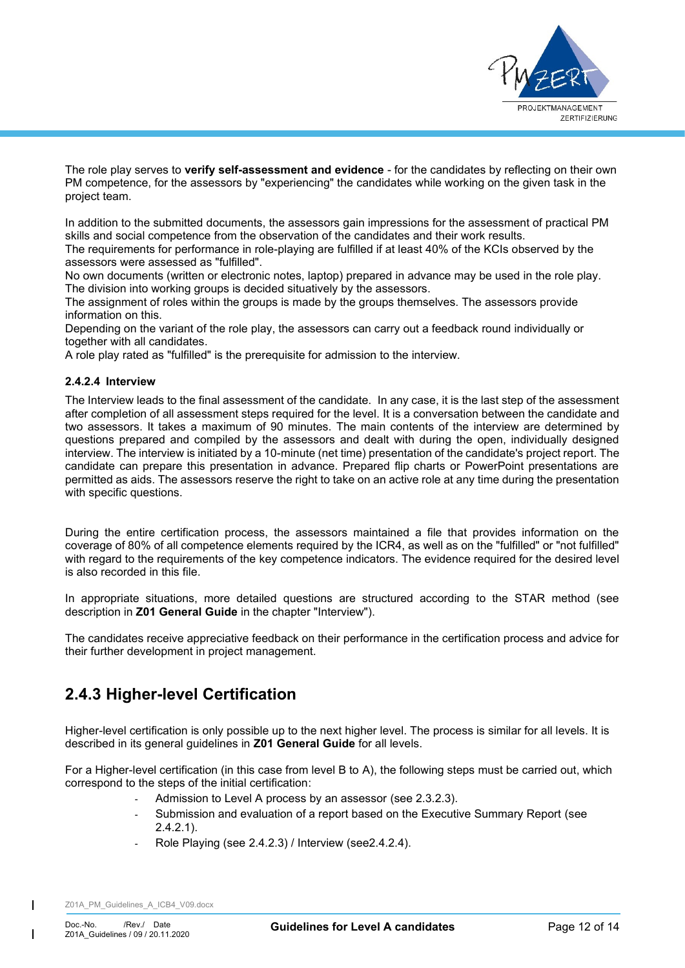

The role play serves to **verify self-assessment and evidence** - for the candidates by reflecting on their own PM competence, for the assessors by "experiencing" the candidates while working on the given task in the project team.

In addition to the submitted documents, the assessors gain impressions for the assessment of practical PM skills and social competence from the observation of the candidates and their work results.

The requirements for performance in role-playing are fulfilled if at least 40% of the KCIs observed by the assessors were assessed as "fulfilled".

No own documents (written or electronic notes, laptop) prepared in advance may be used in the role play. The division into working groups is decided situatively by the assessors.

The assignment of roles within the groups is made by the groups themselves. The assessors provide information on this.

Depending on the variant of the role play, the assessors can carry out a feedback round individually or together with all candidates.

A role play rated as "fulfilled" is the prerequisite for admission to the interview.

#### <span id="page-11-0"></span>**2.4.2.4 Interview**

The Interview leads to the final assessment of the candidate. In any case, it is the last step of the assessment after completion of all assessment steps required for the level. It is a conversation between the candidate and two assessors. It takes a maximum of 90 minutes. The main contents of the interview are determined by questions prepared and compiled by the assessors and dealt with during the open, individually designed interview. The interview is initiated by a 10-minute (net time) presentation of the candidate's project report. The candidate can prepare this presentation in advance. Prepared flip charts or PowerPoint presentations are permitted as aids. The assessors reserve the right to take on an active role at any time during the presentation with specific questions.

During the entire certification process, the assessors maintained a file that provides information on the coverage of 80% of all competence elements required by the ICR4, as well as on the "fulfilled" or "not fulfilled" with regard to the requirements of the key competence indicators. The evidence required for the desired level is also recorded in this file.

In appropriate situations, more detailed questions are structured according to the STAR method (see description in **Z01 General Guide** in the chapter "Interview").

The candidates receive appreciative feedback on their performance in the certification process and advice for their further development in project management.

### <span id="page-11-1"></span>**2.4.3 Higher-level Certification**

Higher-level certification is only possible up to the next higher level. The process is similar for all levels. It is described in its general guidelines in **Z01 General Guide** for all levels.

For a Higher-level certification (in this case from level B to A), the following steps must be carried out, which correspond to the steps of the initial certification:

- Admission to Level A process by an assessor (see [2.3.2.3\)](#page-7-0).
- Submission and evaluation of a report based on the Executive Summary Report (see [2.4.2.1\)](#page-8-3).
- <span id="page-11-2"></span>Role Playing (see [2.4.2.3\)](#page-10-1) / Interview (see 2.4.2.4).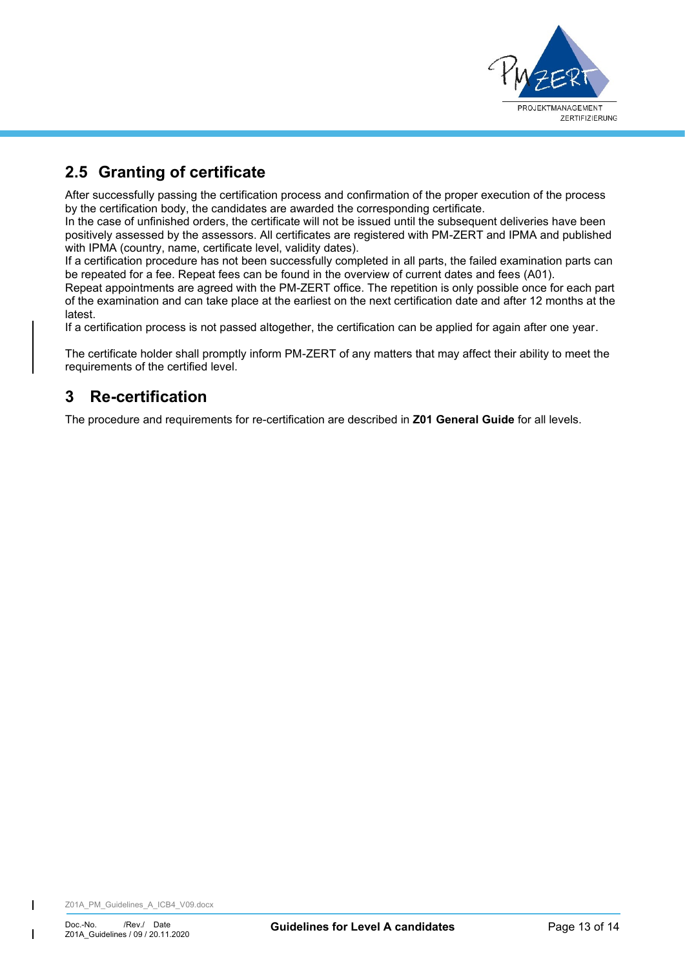

# **2.5 Granting of certificate**

After successfully passing the certification process and confirmation of the proper execution of the process by the certification body, the candidates are awarded the corresponding certificate.

In the case of unfinished orders, the certificate will not be issued until the subsequent deliveries have been positively assessed by the assessors. All certificates are registered with PM-ZERT and IPMA and published with IPMA (country, name, certificate level, validity dates).

If a certification procedure has not been successfully completed in all parts, the failed examination parts can be repeated for a fee. Repeat fees can be found in the overview of current dates and fees (A01).

Repeat appointments are agreed with the PM-ZERT office. The repetition is only possible once for each part of the examination and can take place at the earliest on the next certification date and after 12 months at the latest.

If a certification process is not passed altogether, the certification can be applied for again after one year.

The certificate holder shall promptly inform PM-ZERT of any matters that may affect their ability to meet the requirements of the certified level.

## <span id="page-12-0"></span>**3 Re-certification**

The procedure and requirements for re-certification are described in **Z01 General Guide** for all levels.